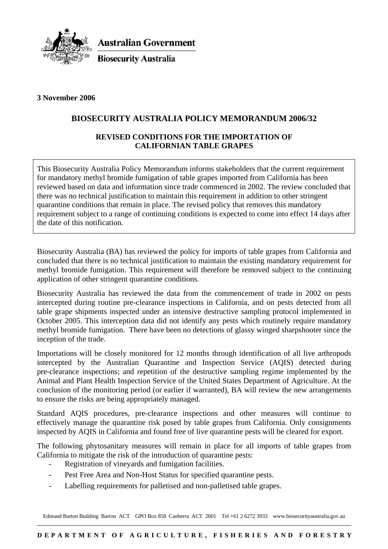

**Australian Government** 

**Biosecurity Australia** 

### **3 November 2006**

# **BIOSECURITY AUSTRALIA POLICY MEMORANDUM 2006/32**

### **REVISED CONDITIONS FOR THE IMPORTATION OF CALIFORNIAN TABLE GRAPES**

This Biosecurity Australia Policy Memorandum informs stakeholders that the current requirement for mandatory methyl bromide fumigation of table grapes imported from California has been reviewed based on data and information since trade commenced in 2002. The review concluded that there was no technical justification to maintain this requirement in addition to other stringent quarantine conditions that remain in place. The revised policy that removes this mandatory requirement subject to a range of continuing conditions is expected to come into effect 14 days after the date of this notification.

Biosecurity Australia (BA) has reviewed the policy for imports of table grapes from California and concluded that there is no technical justification to maintain the existing mandatory requirement for methyl bromide fumigation. This requirement will therefore be removed subject to the continuing application of other stringent quarantine conditions.

Biosecurity Australia has reviewed the data from the commencement of trade in 2002 on pests intercepted during routine pre-clearance inspections in California, and on pests detected from all table grape shipments inspected under an intensive destructive sampling protocol implemented in October 2005. This interception data did not identify any pests which routinely require mandatory methyl bromide fumigation. There have been no detections of glassy winged sharpshooter since the inception of the trade.

Importations will be closely monitored for 12 months through identification of all live arthropods intercepted by the Australian Quarantine and Inspection Service (AQIS) detected during pre-clearance inspections; and repetition of the destructive sampling regime implemented by the Animal and Plant Health Inspection Service of the United States Department of Agriculture. At the conclusion of the monitoring period (or earlier if warranted), BA will review the new arrangements to ensure the risks are being appropriately managed.

Standard AQIS procedures, pre-clearance inspections and other measures will continue to effectively manage the quarantine risk posed by table grapes from California. Only consignments inspected by AQIS in California and found free of live quarantine pests will be cleared for export.

The following phytosanitary measures will remain in place for all imports of table grapes from California to mitigate the risk of the introduction of quarantine pests:

- Registration of vineyards and fumigation facilities.
- Pest Free Area and Non-Host Status for specified quarantine pests.
- Labelling requirements for palletised and non-palletised table grapes.

Edmund Barton Building Barton ACT GPO Box 858 Canberra ACT 2601 Tel +61 2 6272 3933 www.biosecurityaustralia.gov.au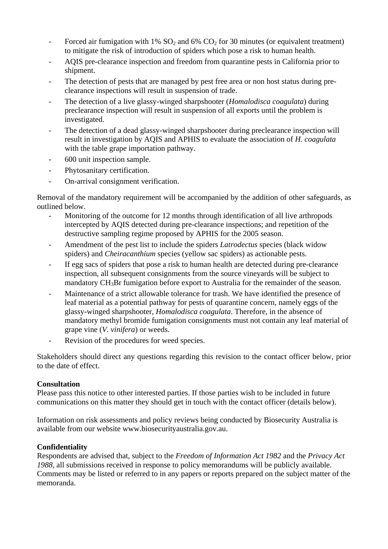- Forced air fumigation with 1%  $SO<sub>2</sub>$  and 6%  $CO<sub>2</sub>$  for 30 minutes (or equivalent treatment) to mitigate the risk of introduction of spiders which pose a risk to human health.
- AQIS pre-clearance inspection and freedom from quarantine pests in California prior to shipment.
- The detection of pests that are managed by pest free area or non host status during preclearance inspections will result in suspension of trade.
- The detection of a live glassy-winged sharpshooter (*Homalodisca coagulata*) during preclearance inspection will result in suspension of all exports until the problem is investigated.
- The detection of a dead glassy-winged sharpshooter during preclearance inspection will result in investigation by AQIS and APHIS to evaluate the association of *H. coagulata* with the table grape importation pathway.
- 600 unit inspection sample.
- Phytosanitary certification.
- On-arrival consignment verification.

Removal of the mandatory requirement will be accompanied by the addition of other safeguards, as outlined below.

- Monitoring of the outcome for 12 months through identification of all live arthropods intercepted by AQIS detected during pre-clearance inspections; and repetition of the destructive sampling regime proposed by APHIS for the 2005 season.
- Amendment of the pest list to include the spiders *Latrodectus* species (black widow spiders) and *Cheiracanthium* species (yellow sac spiders) as actionable pests.
- If egg sacs of spiders that pose a risk to human health are detected during pre-clearance inspection, all subsequent consignments from the source vineyards will be subject to mandatory CH<sub>3</sub>Br fumigation before export to Australia for the remainder of the season.
- Maintenance of a strict allowable tolerance for trash. We have identified the presence of leaf material as a potential pathway for pests of quarantine concern, namely eggs of the glassy-winged sharpshooter, *Homalodisca coagulata*. Therefore, in the absence of mandatory methyl bromide fumigation consignments must not contain any leaf material of grape vine (*V. vinifera*) or weeds.
- Revision of the procedures for weed species.

Stakeholders should direct any questions regarding this revision to the contact officer below, prior to the date of effect.

#### **Consultation**

Please pass this notice to other interested parties. If those parties wish to be included in future communications on this matter they should get in touch with the contact officer (details below).

Information on risk assessments and policy reviews being conducted by Biosecurity Australia is available from our website www.biosecurityaustralia.gov.au.

## **Confidentiality**

Respondents are advised that, subject to the *Freedom of Information Act 1982* and the *Privacy Act 1988*, all submissions received in response to policy memorandums will be publicly available. Comments may be listed or referred to in any papers or reports prepared on the subject matter of the memoranda.